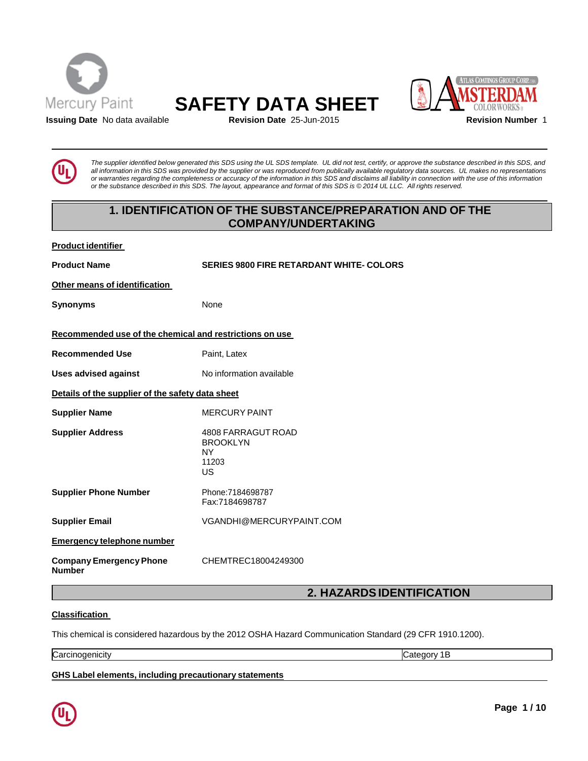





**Issuing Date** No data available **Revision Date** 25-Jun-2015 **Revision Number** 1

The supplier identified below generated this SDS using the UL SDS template. UL did not test, certify, or approve the substance described in this SDS, and all information in this SDS was provided by the supplier or was reproduced from publically available regulatory data sources. UL makes no representations or warranties regarding the completeness or accuracy of the information in this SDS and disclaims all liability in connection with the use of this information or the substance described in this SDS. The layout, appearance and format of this SDS is @2014 UL LLC. All rights reserved.

# **1. IDENTIFICATION OF THE SUBSTANCE/PREPARATION AND OF THE COMPANY/UNDERTAKING**

| <b>Product identifier</b> |
|---------------------------|
|                           |

**Product Name SERIES 9800 FIRE RETARDANT WHITE- COLORS**

**Other means of identification**

**Synonyms** None

## **Recommended use of the chemical and restrictions on use**

**Recommended Use** Paint, Latex

**Uses advised against** No information available

**Details of the supplier of the safety data sheet**

**Supplier Name** MERCURY PAINT

**Supplier Address** 4808 FARRAGUT ROAD BROOKLYN NY 11203 US **Supplier Phone Number** Phone:7184698787

Fax:7184698787

**Supplier Email** [VGANDHI@MERCURYPAINT.COM](mailto:VGANDHI@MERCURYPAINT.COM)

**Emergency telephone number**

**Company Emergency Phone Number**

# **2. HAZARDSIDENTIFICATION**

## **Classification**

This chemical is considered hazardous by the 2012 OSHA Hazard Communication Standard (29 CFR 1910.1200).

CHEMTREC18004249300

Carcinogenicity Category 1B

**GHS Label elements, including precautionary statements**

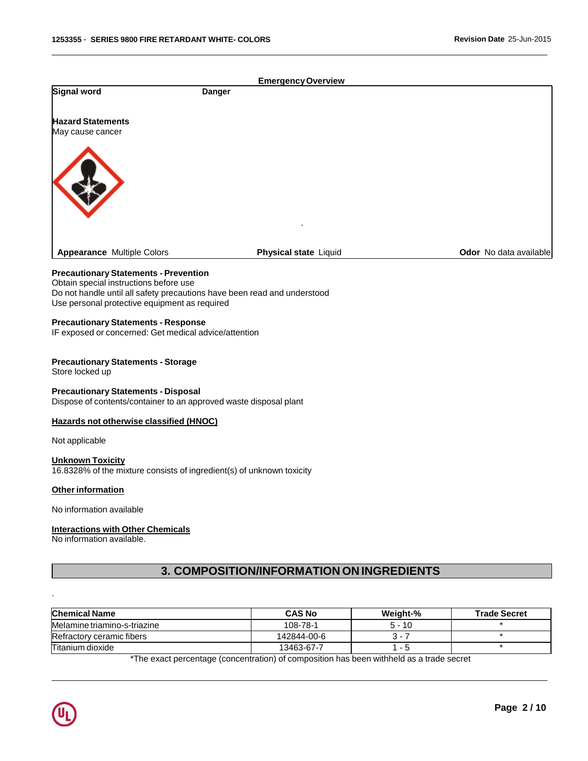|                                                                                                                           |               | <b>Emergency Overview</b>                                                                |          |                        |
|---------------------------------------------------------------------------------------------------------------------------|---------------|------------------------------------------------------------------------------------------|----------|------------------------|
| Signal word                                                                                                               | <b>Danger</b> |                                                                                          |          |                        |
| <b>Hazard Statements</b><br>May cause cancer                                                                              |               |                                                                                          |          |                        |
|                                                                                                                           |               |                                                                                          |          |                        |
|                                                                                                                           |               |                                                                                          |          |                        |
|                                                                                                                           |               |                                                                                          |          |                        |
|                                                                                                                           |               |                                                                                          |          |                        |
|                                                                                                                           |               |                                                                                          |          |                        |
|                                                                                                                           |               |                                                                                          |          |                        |
| <b>Appearance Multiple Colors</b>                                                                                         |               | <b>Physical state Liquid</b>                                                             |          | Odor No data available |
| <b>Precautionary Statements - Prevention</b>                                                                              |               |                                                                                          |          |                        |
| Obtain special instructions before use                                                                                    |               |                                                                                          |          |                        |
| Do not handle until all safety precautions have been read and understood<br>Use personal protective equipment as required |               |                                                                                          |          |                        |
| <b>Precautionary Statements - Response</b>                                                                                |               |                                                                                          |          |                        |
| IF exposed or concerned: Get medical advice/attention                                                                     |               |                                                                                          |          |                        |
| <b>Precautionary Statements - Storage</b>                                                                                 |               |                                                                                          |          |                        |
| Store locked up                                                                                                           |               |                                                                                          |          |                        |
| <b>Precautionary Statements - Disposal</b>                                                                                |               |                                                                                          |          |                        |
| Dispose of contents/container to an approved waste disposal plant                                                         |               |                                                                                          |          |                        |
| Hazards not otherwise classified (HNOC)                                                                                   |               |                                                                                          |          |                        |
| Not applicable                                                                                                            |               |                                                                                          |          |                        |
| <b>Unknown Toxicity</b><br>16.8328% of the mixture consists of ingredient(s) of unknown toxicity                          |               |                                                                                          |          |                        |
| <b>Other information</b>                                                                                                  |               |                                                                                          |          |                        |
| No information available                                                                                                  |               |                                                                                          |          |                        |
|                                                                                                                           |               |                                                                                          |          |                        |
| <b>Interactions with Other Chemicals</b><br>No information available.                                                     |               |                                                                                          |          |                        |
|                                                                                                                           |               |                                                                                          |          |                        |
|                                                                                                                           |               | 3. COMPOSITION/INFORMATION ON INGREDIENTS                                                |          |                        |
|                                                                                                                           |               |                                                                                          |          |                        |
|                                                                                                                           |               |                                                                                          |          |                        |
| <b>Chemical Name</b>                                                                                                      |               | <b>CAS No</b>                                                                            | Weight-% | <b>Trade Secret</b>    |
| Melamine triamino-s-triazine                                                                                              |               | 108-78-1                                                                                 | $5 - 10$ | $\star$                |
| Refractory ceramic fibers                                                                                                 |               | 142844-00-6                                                                              | $3 - 7$  | $\star$<br>$\star$     |
| Titanium dioxide                                                                                                          |               | 13463-67-7                                                                               | $1 - 5$  |                        |
|                                                                                                                           |               | *The exact percentage (concentration) of composition has been withheld as a trade secret |          |                        |
|                                                                                                                           |               |                                                                                          |          |                        |
|                                                                                                                           |               |                                                                                          |          |                        |
|                                                                                                                           |               |                                                                                          |          | Page 2/10              |
|                                                                                                                           |               |                                                                                          |          |                        |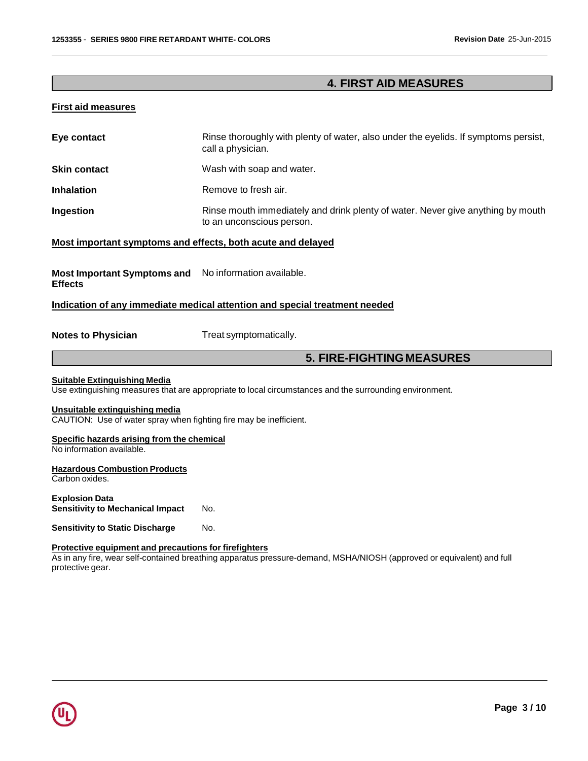# **4. FIRST AID MEASURES**

### **First aid measures**

| Eye contact                                                                                          | Rinse thoroughly with plenty of water, also under the eyelids. If symptoms persist,<br>call a physician.     |  |  |
|------------------------------------------------------------------------------------------------------|--------------------------------------------------------------------------------------------------------------|--|--|
| <b>Skin contact</b>                                                                                  | Wash with soap and water.                                                                                    |  |  |
| <b>Inhalation</b>                                                                                    | Remove to fresh air.                                                                                         |  |  |
| Ingestion                                                                                            | Rinse mouth immediately and drink plenty of water. Never give anything by mouth<br>to an unconscious person. |  |  |
| Most important symptoms and effects, both acute and delayed                                          |                                                                                                              |  |  |
| Most Important Symptoms and No information available.<br><b>Effects</b>                              |                                                                                                              |  |  |
|                                                                                                      | Indication of any immediate medical attention and special treatment needed                                   |  |  |
| <b>Notes to Physician</b>                                                                            | Treat symptomatically.                                                                                       |  |  |
|                                                                                                      |                                                                                                              |  |  |
|                                                                                                      | <b>5. FIRE-FIGHTING MEASURES</b>                                                                             |  |  |
| <b>Suitable Extinguishing Media</b>                                                                  | Use extinguishing measures that are appropriate to local circumstances and the surrounding environment.      |  |  |
| Unsuitable extinguishing media<br>CAUTION: Use of water spray when fighting fire may be inefficient. |                                                                                                              |  |  |
| Specific hazards arising from the chemical<br>No information available.                              |                                                                                                              |  |  |
| <b>Hazardous Combustion Products</b><br>Carbon oxides.                                               |                                                                                                              |  |  |
| <b>Explosion Data</b><br><b>Sensitivity to Mechanical Impact</b>                                     | No.                                                                                                          |  |  |
| <b>Sensitivity to Static Discharge</b>                                                               | No.                                                                                                          |  |  |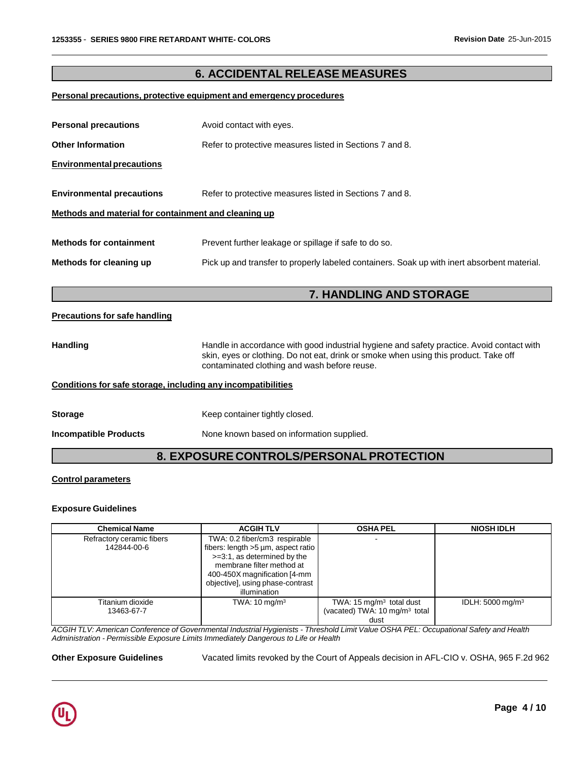# **6. ACCIDENTAL RELEASE MEASURES**

#### **Personal precautions, protective equipment and emergency procedures**

| <b>Personal precautions</b>                                  | Avoid contact with eyes.                                                                                                                                                                                                          |  |  |
|--------------------------------------------------------------|-----------------------------------------------------------------------------------------------------------------------------------------------------------------------------------------------------------------------------------|--|--|
| <b>Other Information</b>                                     | Refer to protective measures listed in Sections 7 and 8.                                                                                                                                                                          |  |  |
| <b>Environmental precautions</b>                             |                                                                                                                                                                                                                                   |  |  |
| <b>Environmental precautions</b>                             | Refer to protective measures listed in Sections 7 and 8.                                                                                                                                                                          |  |  |
| Methods and material for containment and cleaning up         |                                                                                                                                                                                                                                   |  |  |
| <b>Methods for containment</b>                               | Prevent further leakage or spillage if safe to do so.                                                                                                                                                                             |  |  |
| Methods for cleaning up                                      | Pick up and transfer to properly labeled containers. Soak up with inert absorbent material.                                                                                                                                       |  |  |
|                                                              |                                                                                                                                                                                                                                   |  |  |
|                                                              |                                                                                                                                                                                                                                   |  |  |
|                                                              | 7. HANDLING AND STORAGE                                                                                                                                                                                                           |  |  |
| <b>Precautions for safe handling</b>                         |                                                                                                                                                                                                                                   |  |  |
| <b>Handling</b>                                              | Handle in accordance with good industrial hygiene and safety practice. Avoid contact with<br>skin, eyes or clothing. Do not eat, drink or smoke when using this product. Take off<br>contaminated clothing and wash before reuse. |  |  |
| Conditions for safe storage, including any incompatibilities |                                                                                                                                                                                                                                   |  |  |
| <b>Storage</b>                                               | Keep container tightly closed.                                                                                                                                                                                                    |  |  |

# **8. EXPOSURE CONTROLS/PERSONALPROTECTION**

#### **Control parameters**

#### **Exposure Guidelines**

| <b>Chemical Name</b>                     | <b>ACGIHTLV</b>                                                                                                                                                                                                     | <b>OSHA PEL</b>                                                                          | <b>NIOSH IDLH</b>            |
|------------------------------------------|---------------------------------------------------------------------------------------------------------------------------------------------------------------------------------------------------------------------|------------------------------------------------------------------------------------------|------------------------------|
| Refractory ceramic fibers<br>142844-00-6 | TWA: 0.2 fiber/cm3 respirable<br>fibers: length >5 µm, aspect ratio<br>>=3:1, as determined by the<br>membrane filter method at<br>400-450X magnification [4-mm<br>objective], using phase-contrast<br>illumination |                                                                                          |                              |
| Titanium dioxide<br>13463-67-7           | TWA: $10 \text{ mg/m}^3$                                                                                                                                                                                            | TWA: $15 \text{ mg/m}^3$ total dust<br>(vacated) TWA: 10 mg/m <sup>3</sup> total<br>dust | IDLH: 5000 mg/m <sup>3</sup> |

ACGIH TLV: American Conference of Governmental Industrial Hygienists - Threshold Limit Value OSHA PEL: Occupational Safety and Health *Administration - Permissible Exposure Limits Immediately Dangerous to Life or Health*

**Other Exposure Guidelines** Vacated limits revoked by the Court of Appeals decision in AFL-CIO v. OSHA, 965 F.2d 962

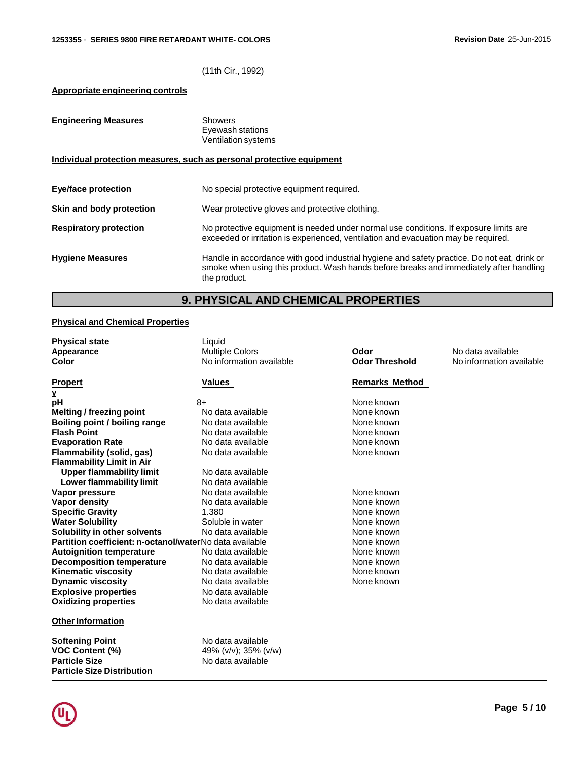(11th Cir., 1992)

## **Appropriate engineering controls**

| <b>Engineering Measures</b>                                           | Showers<br>Eyewash stations<br><b>Ventilation systems</b>                                                                                                                                             |  |  |
|-----------------------------------------------------------------------|-------------------------------------------------------------------------------------------------------------------------------------------------------------------------------------------------------|--|--|
| Individual protection measures, such as personal protective equipment |                                                                                                                                                                                                       |  |  |
| Eye/face protection                                                   | No special protective equipment required.                                                                                                                                                             |  |  |
| Skin and body protection                                              | Wear protective gloves and protective clothing.                                                                                                                                                       |  |  |
| <b>Respiratory protection</b>                                         | No protective equipment is needed under normal use conditions. If exposure limits are<br>exceeded or irritation is experienced, ventilation and evacuation may be required.                           |  |  |
| <b>Hygiene Measures</b>                                               | Handle in accordance with good industrial hygiene and safety practice. Do not eat, drink or<br>smoke when using this product. Wash hands before breaks and immediately after handling<br>the product. |  |  |

# **9. PHYSICAL AND CHEMICAL PROPERTIES**

# **Physical and Chemical Properties**

| <b>Physical state</b>                                   | Liquid                   |                       |                          |
|---------------------------------------------------------|--------------------------|-----------------------|--------------------------|
| Appearance                                              | <b>Multiple Colors</b>   | Odor                  | No data available        |
| <b>Color</b>                                            | No information available | <b>Odor Threshold</b> | No information available |
| <b>Propert</b>                                          | Values                   | <b>Remarks Method</b> |                          |
| Y                                                       |                          |                       |                          |
| рH                                                      | $8+$                     | None known            |                          |
| Melting / freezing point                                | No data available        | None known            |                          |
| Boiling point / boiling range                           | No data available        | None known            |                          |
| <b>Flash Point</b>                                      | No data available        | None known            |                          |
| <b>Evaporation Rate</b>                                 | No data available        | None known            |                          |
| Flammability (solid, gas)                               | No data available        | None known            |                          |
| <b>Flammability Limit in Air</b>                        |                          |                       |                          |
| <b>Upper flammability limit</b>                         | No data available        |                       |                          |
| Lower flammability limit                                | No data available        |                       |                          |
| Vapor pressure<br>No data available                     |                          | None known            |                          |
| Vapor density<br>No data available                      |                          | None known            |                          |
| <b>Specific Gravity</b>                                 | 1.380                    | None known            |                          |
| <b>Water Solubility</b>                                 | Soluble in water         | None known            |                          |
| Solubility in other solvents                            | No data available        | None known            |                          |
| Partition coefficient: n-octanol/waterNo data available |                          | None known            |                          |
| <b>Autoignition temperature</b>                         | No data available        | None known            |                          |
| <b>Decomposition temperature</b>                        | No data available        | None known            |                          |
| <b>Kinematic viscosity</b>                              | No data available        | None known            |                          |
| <b>Dynamic viscosity</b>                                | No data available        | None known            |                          |
| <b>Explosive properties</b>                             | No data available        |                       |                          |
| <b>Oxidizing properties</b>                             | No data available        |                       |                          |
| <b>Other Information</b>                                |                          |                       |                          |
| <b>Softening Point</b>                                  | No data available        |                       |                          |
| VOC Content (%)                                         | 49% (v/v); 35% (v/w)     |                       |                          |
| <b>Particle Size</b>                                    | No data available        |                       |                          |



**Particle Size Distribution**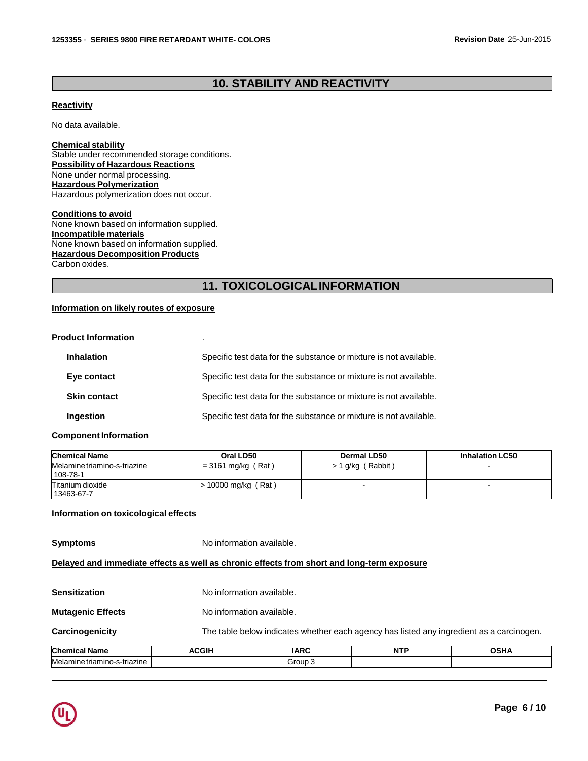# **10. STABILITY AND REACTIVITY**

### **Reactivity**

No data available.

**Chemical stability** Stable under recommended storage conditions. **Possibility of Hazardous Reactions** None under normal processing. **Hazardous Polymerization** Hazardous polymerization does not occur.

**Conditions to avoid** None known based on information supplied. **Incompatible materials** None known based on information supplied. **Hazardous Decomposition Products** Carbon oxides.

# **11. TOXICOLOGICALINFORMATION**

### **Information on likely routes of exposure**

| <b>Product Information</b> |  |
|----------------------------|--|
|                            |  |

| <b>Inhalation</b>   | Specific test data for the substance or mixture is not available. |
|---------------------|-------------------------------------------------------------------|
| Eye contact         | Specific test data for the substance or mixture is not available. |
| <b>Skin contact</b> | Specific test data for the substance or mixture is not available. |
| <b>Ingestion</b>    | Specific test data for the substance or mixture is not available. |

#### **Component Information**

| <b>Chemical Name</b>                     | Oral LD50             | Dermal LD50         | <b>Inhalation LC50</b> |
|------------------------------------------|-----------------------|---------------------|------------------------|
| Melamine triamino-s-triazine<br>108-78-1 | $=$ 3161 mg/kg (Rat)  | $> 1$ g/kg (Rabbit) |                        |
| Titanium dioxide<br>13463-67-7           | $> 10000$ mg/kg (Rat) |                     |                        |

#### **Information on toxicological effects**

**Symptoms** No information available.

**Delayed and immediate effects as well as chronic effects from short and long-term exposure**

| <b>Chemical Name</b>     | <b>ACGIH</b> | The table below indicates whether each agency has listed any ingredient as a carcinogen.<br><b>IARC</b><br><b>NTP</b><br><b>OSHA</b> |  |  |  |  |
|--------------------------|--------------|--------------------------------------------------------------------------------------------------------------------------------------|--|--|--|--|
| Carcinogenicity          |              |                                                                                                                                      |  |  |  |  |
| <b>Mutagenic Effects</b> |              | No information available.                                                                                                            |  |  |  |  |
| <b>Sensitization</b>     |              | No information available.                                                                                                            |  |  |  |  |

| Melan<br>זז בזר<br>ורובו<br> | $r_{\text{OIII}}$<br>$\sim$ |  |
|------------------------------|-----------------------------|--|
|                              |                             |  |

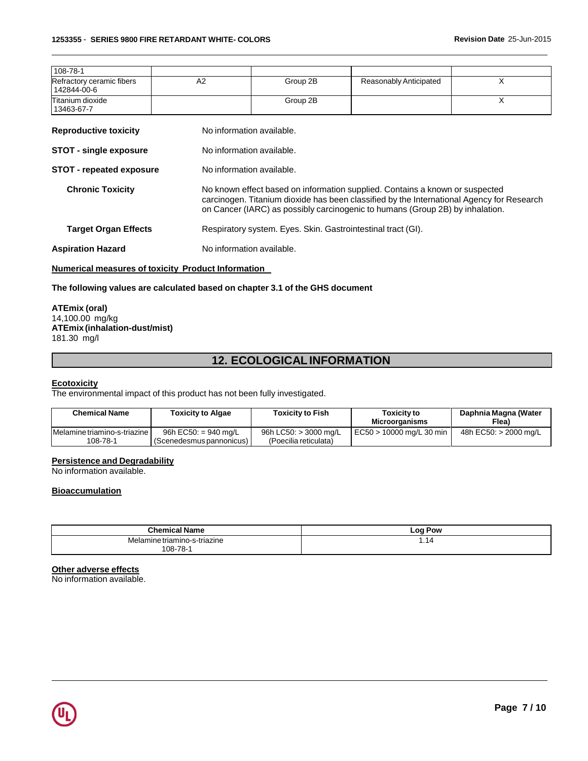| 108-78-1                                 |    |          |                        |  |
|------------------------------------------|----|----------|------------------------|--|
| Refractory ceramic fibers<br>142844-00-6 | A2 | Group 2B | Reasonably Anticipated |  |
| Titanium dioxide<br>13463-67-7           |    | Group 2B |                        |  |

| <b>Reproductive toxicity</b> | No information available. |
|------------------------------|---------------------------|
|                              |                           |

- **STOT** single exposure No information available.
- **STOT repeated exposure** No information available.
	- **Chronic Toxicity** No known effect based on information supplied. Contains a known or suspected carcinogen. Titanium dioxide has been classified by the International Agency for Research on Cancer (IARC) as possibly carcinogenic to humans (Group 2B) by inhalation.

**Target Organ Effects** Respiratory system. Eyes. Skin. Gastrointestinal tract (GI).

**Aspiration Hazard** No information available.

#### **Numerical measures of toxicity Product Information**

#### **The following values are calculated based on chapter 3.1 of the GHS document**

#### **ATEmix (oral)** 14,100.00 mg/kg **ATEmix (inhalation-dust/mist)** 181.30 mg/l

# **12. ECOLOGICALINFORMATION**

#### **Ecotoxicity**

The environmental impact of this product has not been fully investigated.

| <b>Chemical Name</b>                     | <b>Toxicity to Algae</b>                               | <b>Toxicity to Fish</b>                        | Toxicity to<br>Microorganisms | Daphnia Magna (Water<br>Flea) |
|------------------------------------------|--------------------------------------------------------|------------------------------------------------|-------------------------------|-------------------------------|
| Melamine triamino-s-triazine<br>108-78-1 | 96h EC50: $= 940$ mg/L<br>I (Scenedesmus pannonicus) I | 96h LC50: > 3000 mg/L<br>(Poecilia reticulata) | EC50 > 10000 mg/L 30 min      | 48h EC50: > 2000 mg/L         |

#### **Persistence and Degradability**

No information available.

### **Bioaccumulation**

| - -<br>Chemical<br>cal Name  | <b>Log Pow</b> |
|------------------------------|----------------|
| Melamine triamino-s-triazine | .14            |
| -78-<br>108-78               |                |

#### **Other adverse effects**

No information available.

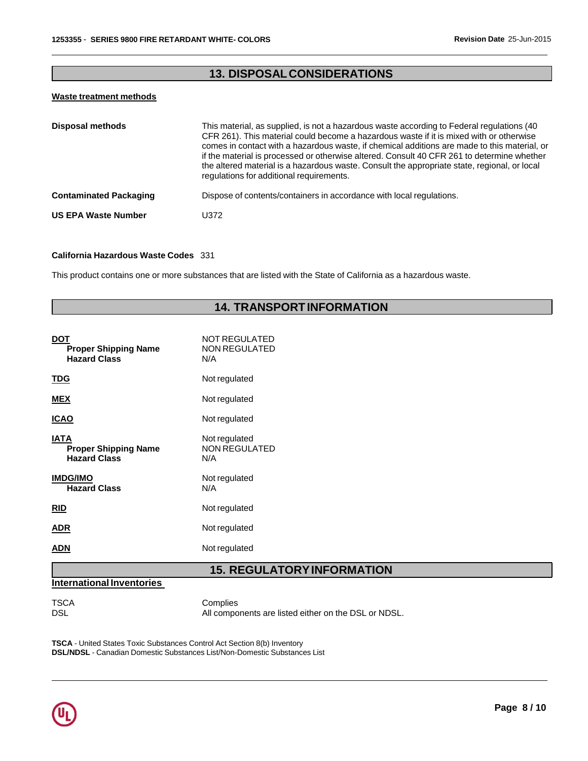# **13. DISPOSALCONSIDERATIONS**

#### **Waste treatment methods**

| <b>Disposal methods</b>       | This material, as supplied, is not a hazardous waste according to Federal regulations (40)<br>CFR 261). This material could become a hazardous waste if it is mixed with or otherwise<br>comes in contact with a hazardous waste, if chemical additions are made to this material, or<br>if the material is processed or otherwise altered. Consult 40 CFR 261 to determine whether<br>the altered material is a hazardous waste. Consult the appropriate state, regional, or local<br>regulations for additional requirements. |
|-------------------------------|---------------------------------------------------------------------------------------------------------------------------------------------------------------------------------------------------------------------------------------------------------------------------------------------------------------------------------------------------------------------------------------------------------------------------------------------------------------------------------------------------------------------------------|
| <b>Contaminated Packaging</b> | Dispose of contents/containers in accordance with local regulations.                                                                                                                                                                                                                                                                                                                                                                                                                                                            |
| <b>US EPA Waste Number</b>    | U372.                                                                                                                                                                                                                                                                                                                                                                                                                                                                                                                           |

#### **California Hazardous Waste Codes** 331

This product contains one or more substances that are listed with the State of California as a hazardous waste.

# **14. TRANSPORTINFORMATION**

|                                                                   | <b>15. REGULATORY</b>                        |
|-------------------------------------------------------------------|----------------------------------------------|
| ADN                                                               | Not regulated                                |
| <b>ADR</b>                                                        | Not regulated                                |
| <b>RID</b>                                                        | Not regulated                                |
| <b>IMDG/IMO</b><br><b>Hazard Class</b>                            | Not regulated<br>N/A                         |
| <b>IATA</b><br><b>Proper Shipping Name</b><br><b>Hazard Class</b> | Not regulated<br><b>NON REGULATED</b><br>N/A |
| <b>ICAO</b>                                                       | Not regulated                                |
| <b>MEX</b>                                                        | Not regulated                                |
| <b>TDG</b>                                                        | Not regulated                                |
| DOT<br><b>Proper Shipping Name</b><br><b>Hazard Class</b>         | NOT REGULATED<br><b>NON REGULATED</b><br>N/A |

**15. REGULATORYINFORMATION**

#### **International Inventories**

TSCA Complies<br>DSL All compo All components are listed either on the DSL or NDSL.

**TSCA** - United States Toxic Substances Control Act Section 8(b) Inventory **DSL/NDSL** - Canadian Domestic Substances List/Non-Domestic Substances List

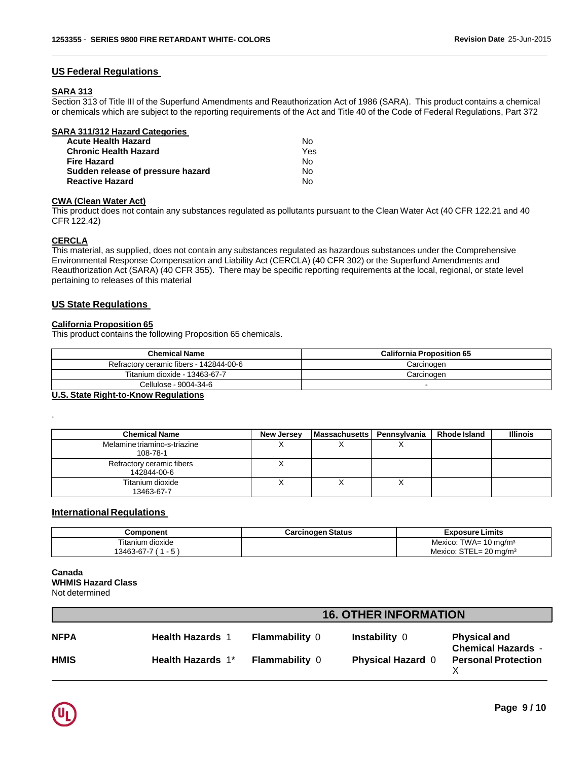#### **US Federal Regulations**

# **SARA 313**

Section 313 of Title III of the Superfund Amendments and Reauthorization Act of 1986 (SARA). This product contains a chemical or chemicals which are subject to the reporting requirements of the Act and Title 40 of the Code of Federal Regulations, Part 372

| SARA 311/312 Hazard Categories    |     |
|-----------------------------------|-----|
| <b>Acute Health Hazard</b>        | N٥  |
| <b>Chronic Health Hazard</b>      | Yes |
| <b>Fire Hazard</b>                | N٥  |
| Sudden release of pressure hazard | N٥  |
| <b>Reactive Hazard</b>            | N٥  |

#### **CWA (Clean Water Act)**

This product does not contain any substances regulated as pollutants pursuant to the Clean Water Act (40 CFR 122.21 and 40 CFR 122.42)

#### **CERCLA**

.

This material, as supplied, does not contain any substances regulated as hazardous substances under the Comprehensive Environmental Response Compensation and Liability Act (CERCLA) (40 CFR 302) or the Superfund Amendments and Reauthorization Act (SARA) (40 CFR 355). There may be specific reporting requirements at the local, regional, or state level pertaining to releases of this material

#### **US State Regulations**

#### **California Proposition 65**

This product contains the following Proposition 65 chemicals.

| <b>Chemical Name</b>                    | <b>California Proposition 65</b> |
|-----------------------------------------|----------------------------------|
| Refractory ceramic fibers - 142844-00-6 | Carcinogen                       |
| Titanium dioxide - 13463-67-7           | Carcinogen                       |
| Cellulose - 9004-34-6                   |                                  |

#### **U.S. State Right-to-Know Regulations**

| <b>Chemical Name</b>                     | New Jersey | <b>Massachusetts</b> | Pennsylvania | Rhode Island | Illinois |
|------------------------------------------|------------|----------------------|--------------|--------------|----------|
| Melamine triamino-s-triazine<br>108-78-1 |            |                      |              |              |          |
| Refractory ceramic fibers<br>142844-00-6 |            |                      |              |              |          |
| Titanium dioxide<br>13463-67-7           |            |                      |              |              |          |

#### **International Regulations**

| Component              | <b>Carcinogen Status</b> | <b>Exposure Limits</b>                |
|------------------------|--------------------------|---------------------------------------|
| Titanium dioxide       |                          | Mexico: TWA= $10 \text{ mg/m}^3$      |
| $-5$<br>13463-67-7 ( 1 |                          | Mexico: $STEL = 20$ mg/m <sup>3</sup> |

#### **Canada WHMIS Hazard Class** Not determined

|             | <b>16. OTHER INFORMATION</b> |                       |                          |                                                  |
|-------------|------------------------------|-----------------------|--------------------------|--------------------------------------------------|
| <b>NFPA</b> | <b>Health Hazards 1</b>      | <b>Flammability 0</b> | <b>Instability 0</b>     | <b>Physical and</b><br><b>Chemical Hazards -</b> |
| <b>HMIS</b> | <b>Health Hazards 1*</b>     | <b>Flammability 0</b> | <b>Physical Hazard 0</b> | <b>Personal Protection</b>                       |